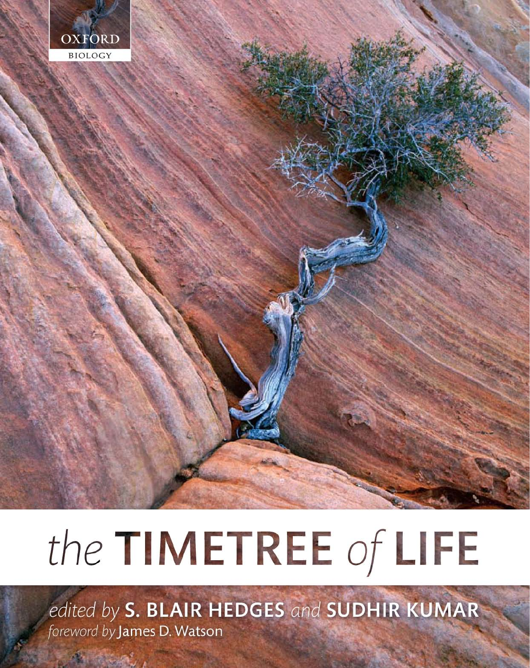

# the TIMETREE of LIFE

edited by S. BLAIR HEDGES and SUDHIR KUMAR foreword by James D. Watson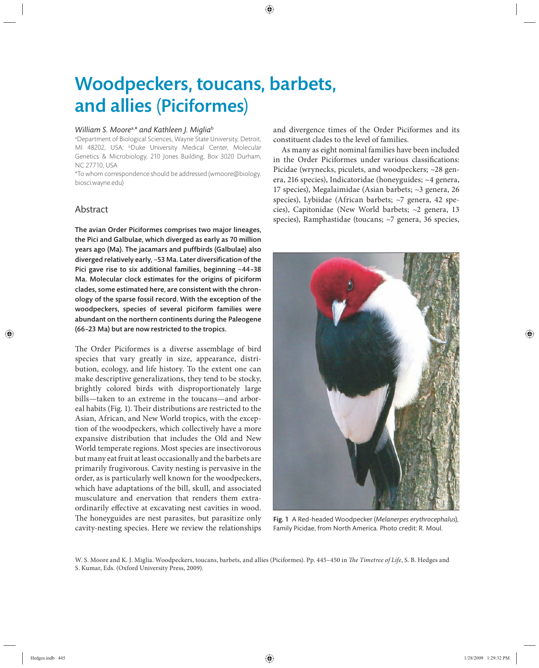## Woodpeckers, toucans, barbets, and allies (Piciformes)

#### *William S. Moore*a,*\* and Kathleen J. Miglia*<sup>b</sup>

a Department of Biological Sciences, Wayne State University, Detroit, MI 48202, USA; <sup>b</sup>Duke University Medical Center, Molecular Genetics & Microbiology, 210 Jones Building, Box 3020 Durham, NC 27710, USA

\*To whom correspondence should be addressed (wmoore@biology. biosci.wayne.edu)

#### Abstract

The avian Order Piciformes comprises two major lineages, the Pici and Galbulae, which diverged as early as 70 million years ago (Ma). The jacamars and puffbirds (Galbulae) also diverged relatively early,  $\sim$  53 Ma. Later diversification of the Pici gave rise to six additional families, beginning ~44–38 Ma. Molecular clock estimates for the origins of piciform clades, some estimated here, are consistent with the chronology of the sparse fossil record. With the exception of the woodpeckers, species of several piciform families were abundant on the northern continents during the Paleogene (66–23 Ma) but are now restricted to the tropics.

The Order Piciformes is a diverse assemblage of bird species that vary greatly in size, appearance, distribution, ecology, and life history. To the extent one can make descriptive generalizations, they tend to be stocky, brightly colored birds with disproportionately large bills—taken to an extreme in the toucans—and arboreal habits (Fig. 1). Their distributions are restricted to the Asian, African, and New World tropics, with the exception of the woodpeckers, which collectively have a more expansive distribution that includes the Old and New World temperate regions. Most species are insectivorous but many eat fruit at least occasionally and the barbets are primarily frugivorous. Cavity nesting is pervasive in the order, as is particularly well known for the woodpeckers, which have adaptations of the bill, skull, and associated musculature and enervation that renders them extraordinarily effective at excavating nest cavities in wood. The honeyguides are nest parasites, but parasitize only cavity-nesting species. Here we review the relationships and divergence times of the Order Piciformes and its constituent clades to the level of families.

As many as eight nominal families have been included in the Order Piciformes under various classifications: Picidae (wrynecks, piculets, and woodpeckers; ~28 genera, 216 species), Indicatoridae (honeyguides; ~4 genera, 17 species), Megalaimidae (Asian barbets; ~3 genera, 26 species), Lybiidae (African barbets; ~7 genera, 42 species), Capitonidae (New World barbets; ~2 genera, 13 species), Ramphastidae (toucans; ~7 genera, 36 species,



Fig. 1 A Red-headed Woodpecker (*Melanerpes erythrocephalus*), Family Picidae, from North America. Photo credit: R. Moul.

W. S. Moore and K. J. Miglia. Woodpeckers, toucans, barbets, and allies (Piciformes). Pp. 445-450 in *The Timetree of Life*, S. B. Hedges and S. Kumar, Eds. (Oxford University Press, 2009).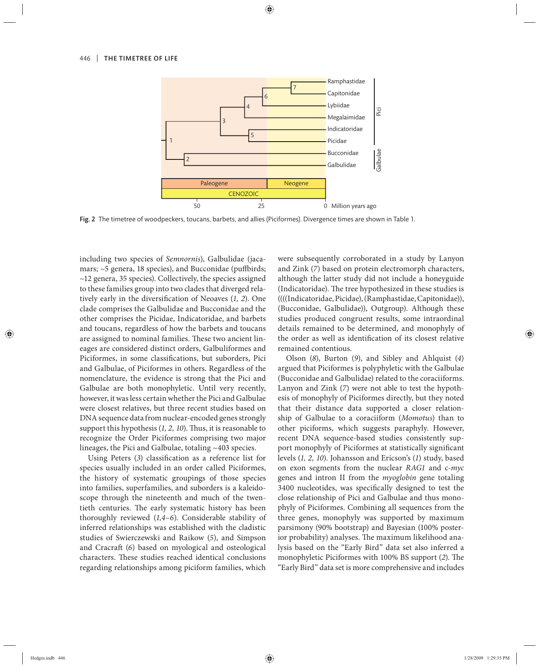

Fig. 2 The timetree of woodpeckers, toucans, barbets, and allies (Piciformes). Divergence times are shown in Table 1.

including two species of *Semnornis*), Galbulidae (jacamars;  $\sim$ 5 genera, 18 species), and Bucconidae (puffbirds; ~12 genera, 35 species). Collectively, the species assigned to these families group into two clades that diverged relatively early in the diversification of Neoaves (1, 2). One clade comprises the Galbulidae and Bucconidae and the other comprises the Picidae, Indicatoridae, and barbets and toucans, regardless of how the barbets and toucans are assigned to nominal families. These two ancient lineages are considered distinct orders, Galbuliformes and Piciformes, in some classifications, but suborders, Pici and Galbulae, of Piciformes in others. Regardless of the nomenclature, the evidence is strong that the Pici and Galbulae are both monophyletic. Until very recently, however, it was less certain whether the Pici and Galbulae were closest relatives, but three recent studies based on DNA sequence data from nuclear-encoded genes strongly support this hypothesis (1, 2, 10). Thus, it is reasonable to recognize the Order Piciformes comprising two major lineages, the Pici and Galbulae, totaling ~403 species.

Using Peters (3) classification as a reference list for species usually included in an order called Piciformes, the history of systematic groupings of those species into families, superfamilies, and suborders is a kaleidoscope through the nineteenth and much of the twentieth centuries. The early systematic history has been thoroughly reviewed (*1,4–6*). Considerable stability of inferred relationships was established with the cladistic stu dies of Swierczewski and Raikow (*5*), and Simpson and Cracraft (6) based on myological and osteological characters. These studies reached identical conclusions regarding relationships among piciform families, which

were subsequently corroborated in a study by Lanyon and Zink (*7*) based on protein electromorph characters, although the latter study did not include a honeyguide (Indicatoridae). The tree hypothesized in these studies is ((((Indicatoridae, Picidae), (Ramphastidae, Capitonidae)), (Bucconidae, Galbulidae)), Outgroup). Although these studies produced congruent results, some intraordinal details remained to be determined, and monophyly of the order as well as identification of its closest relative remained contentious.

Olson (*8*), Bu rton (*9*), and Sibley and Ahlquist (*4*) argued that Piciformes is polyphyletic with the Galbulae (Bucconidae and Galbulidae) related to the coraciiforms. Lanyon and Zink (*7*) were not able to test the hypothesis of monophyly of Piciformes directly, but they noted that their distance data supported a closer relationship of Galbulae to a coraciiform (Momotus) than to other piciforms, which suggests paraphyly. However, recent DNA sequence-based studies consistently support monophyly of Piciformes at statistically significant levels (*1, 2, 10*). Johansson and Ericson's (*1*) study, based on exon segments from the nuclear *RAG1* and c*-myc* genes and intron II from the *myoglobin* gene totaling 3400 nucleotides, was specifically designed to test the close relationship of Pici and Galbulae and thus monophyly of Piciformes. Combining all sequences from the three genes, monophyly was supported by maximum parsimony (90% bootstrap) and Bayesian (100% posterior probability) analyses. The maximum likelihood analysis based on the "Early Bird" data set also inferred a monophyletic Piciformes with 100% BS support (2). The "Early Bird" data set is more comprehensive and includes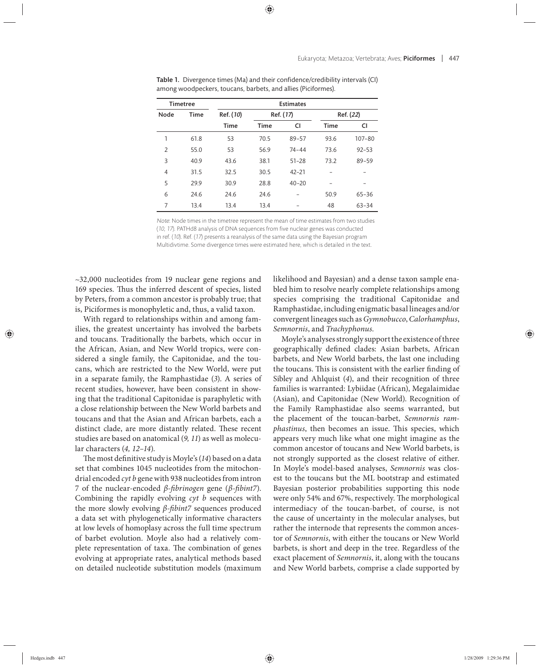| <b>Timetree</b> |             | <b>Estimates</b> |             |           |             |            |
|-----------------|-------------|------------------|-------------|-----------|-------------|------------|
| Node            | <b>Time</b> | Ref. (10)        | Ref. (17)   |           | Ref. (22)   |            |
|                 |             | <b>Time</b>      | <b>Time</b> | CI        | <b>Time</b> | <b>CI</b>  |
| 1               | 61.8        | 53               | 70.5        | $89 - 57$ | 93.6        | $107 - 80$ |
| $\overline{2}$  | 55.0        | 53               | 56.9        | $74 - 44$ | 73.6        | $92 - 53$  |
| 3               | 40.9        | 43.6             | 38.1        | $51 - 28$ | 73.2        | 89-59      |
| 4               | 31.5        | 32.5             | 30.5        | $42 - 21$ |             |            |
| 5               | 29.9        | 30.9             | 28.8        | $40 - 20$ |             |            |
| 6               | 24.6        | 24.6             | 24.6        |           | 50.9        | $65 - 36$  |
| 7               | 13.4        | 13.4             | 13.4        |           | 48          | $63 - 34$  |

Table 1. Divergence times (Ma) and their confidence/credibility intervals (CI) among woodpeckers, toucans, barbets, and allies (Piciformes).

Note: Node times in the timetree represent the mean of time estimates from two studies (10, 17). PATHd8 analysis of DNA sequences from five nuclear genes was conducted in ref. (10). Ref. (17) presents a reanalysis of the same data using the Bayesian program Multidivtime. Some divergence times were estimated here, which is detailed in the text.

 $~1$ -32,000 nucleotides from 19 nuclear gene regions and 169 species. Thus the inferred descent of species, listed by Peters, from a common ancestor is probably true; that is, Piciformes is monophyletic and, thus, a valid taxon.

With regard to relationships within and among families, the greatest uncertainty has involved the barbets and toucans. Traditionally the barbets, which occur in the African, Asian, and New World tropics, were considered a single family, the Capitonidae, and the toucans, which are restricted to the New World, were put in a separate family, the Ramphastidae (*3*). A series of recent studies, however, have been consistent in showing that the traditional Capitonidae is paraphyletic with a close relationship between the New World barbets and toucans and that the Asian and African barbets, each a distinct clade, are more distantly related. These recent studies are based on anatomical (*9, 11*) as well as molecular characters (*4, 12–14*).

The most definitive study is Moyle's (14) based on a data set that combines 1045 nucleotides from the mitochondrial encoded *cyt b* gene with 938 nucleotides from intron 7 of the nuclear-encoded *β-fibrinogen* gene (*β-fibint7*). Combining the rapidly evolving *cyt b* sequences with the more slowly evolving *β-fibint7* sequences produced a data set with phylogenetically informative characters at low levels of homoplasy across the full time spectrum of barbet evolution. Moyle also had a relatively complete representation of taxa. The combination of genes evolving at appropriate rates, analytical methods based on detailed nucleotide substitution models (maximum likelihood and Bayesian) and a dense taxon sample enabled him to resolve nearly complete relationships among species comprising the traditional Capitonidae and Ramphastidae, including enigmatic basal lineages and/or convergent lineages such as *Gymnobucco*, *Calorhamphus*, *Semnornis*, and *Trachyphonus*.

Moyle's analyses strongly support the existence of three geographically defined clades: Asian barbets, African barbets, and New World barbets, the last one including the toucans. This is consistent with the earlier finding of Sibley and Ahlquist (4), and their recognition of three families is warranted: Lybiidae (African), Megalaimidae (Asian), and Capitonidae (New World). Recognition of the Family Ramphastidae also seems warranted, but the placement of the toucan-barbet, *Semnornis ramphastinus*, then becomes an issue. This species, which appears very much like what one might imagine as the common ancestor of toucans and New World barbets, is not strongly supported as the closest relative of either. In Moyle's model-based analyses, *Semnornis* was closest to the toucans but the ML bootstrap and estimated Bayesian posterior probabilities supporting this node were only 54% and 67%, respectively. The morphological intermediacy of the toucan-barbet, of course, is not the cause of uncertainty in the molecular analyses, but rather the internode that represents the common ancestor of *Semnornis*, with either the toucans or New World barbets, is short and deep in the tree. Regardless of the exact placement of *Semnornis*, it, along with the toucans and New World barbets, comprise a clade supported by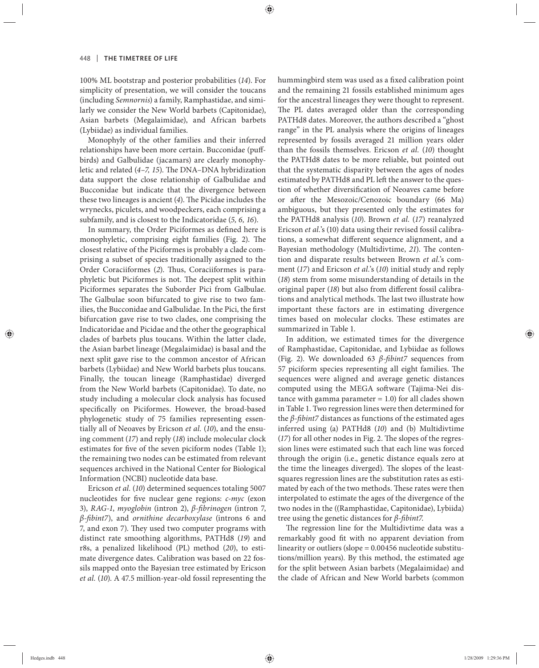100% ML bootstrap and posterior probabilities (*14*). For simplicity of presentation, we will consider the toucans (including *Semnornis*) a family, Ramphastidae, and similarly we consider the New World barbets (Capitonidae), Asian barbets (Megalaimidae), and African barbets (Lybiidae) as individual families.

Monophyly of the other families and their inferred relationships have been more certain. Bucconidae (puffbirds) and Galbulidae (jacamars) are clearly monophyletic and related (4-7, 15). The DNA-DNA hybridization data support the close relationship of Galbulidae and Bucconidae but indicate that the divergence between these two lineages is ancient (4). The Picidae includes the wrynecks, piculets, and woodpeckers, each comprising a subfamily, and is closest to the Indicatoridae (*5, 6, 16*).

In summary, the Order Piciformes as defined here is monophyletic, comprising eight families (Fig. 2). The closest relative of the Piciformes is probably a clade comprising a subset of species traditionally assigned to the Order Coraciiformes (2). Thus, Coraciiformes is paraphyletic but Piciformes is not. The deepest split within Piciformes separates the Suborder Pici from Galbulae. The Galbulae soon bifurcated to give rise to two families, the Bucconidae and Galbulidae. In the Pici, the first bifurcation gave rise to two clades, one comprising the Indicatoridae and Picidae and the other the geographical clades of barbets plus toucans. Within the latter clade, the Asian barbet lineage (Megalaimidae) is basal and the next split gave rise to the common ancestor of African barbets (Lybiidae) and New World barbets plus toucans. Finally, the toucan lineage (Ramphastidae) diverged from the New World barbets (Capitonidae). To date, no study including a molecular clock analysis has focused specifically on Piciformes. However, the broad-based phylogenetic study of 75 families representing essentially all of Neoaves by Ericson *et al.* (*10*), and the ensuing comment (*17*) and reply (*18*) include molecular clock estimates for five of the seven piciform nodes (Table 1); the remaining two nodes can be estimated from relevant sequences archived in the National Center for Biological Information (NCBI) nucleotide data base.

Ericson *et al.* (*10*) determined sequences totaling 5007 nucleotides for five nuclear gene regions: *c-myc* (exon 3), *RAG-1*, *myoglobin* (intron 2), *β-A brinogen* (intron 7, *β-fibint7*), and *ornithine decarboxylase* (introns 6 and 7, and exon 7). They used two computer programs with distinct rate smoothing algorithms, PATHd8 (*19*) and r8s, a penalized likelihood (PL) method (*20*), to estimate divergence dates. Calibration was based on 22 fossils mapped onto the Bayesian tree estimated by Ericson *et al.* (*10*). A 47.5 million-year-old fossil representing the hummingbird stem was used as a fixed calibration point and the remaining 21 fossils established minimum ages for the ancestral lineages they were thought to represent. The PL dates averaged older than the corresponding PATHd8 dates. Moreover, the authors described a "ghost range" in the PL analysis where the origins of lineages represented by fossils averaged 21 million years older than the fossils themselves. Ericson *et al.* (*10*) thought the PATHd8 dates to be more reliable, but pointed out that the systematic disparity between the ages of nodes estimated by PATHd8 and PL left the answer to the question of whether diversification of Neoaves came before or after the Mesozoic/Cenozoic boundary (66 Ma) ambiguous, but they presented only the estimates for the PATHd8 analysis (*10*). Brown *et al.* (*17*) reanalyzed Ericson *et al.*'s (10) data using their revised fossil calibrations, a somewhat different sequence alignment, and a Bayesian methodology (Multidivtime, 21). The contention and disparate results between Brown *et al.*'s comment (*17*) and Ericson *et al.*'s (*10*) initial study and reply (*18*) stem from some misunderstanding of details in the original paper (18) but also from different fossil calibrations and analytical methods. The last two illustrate how important these factors are in estimating divergence times based on molecular clocks. These estimates are summarized in Table 1.

In addition, we estimated times for the divergence of Ramphastidae, Capitonidae, and Lybiidae as follows (Fig. 2). We downloaded 63 *β-A bint7* sequences from 57 piciform species representing all eight families. The sequences were aligned and average genetic distances computed using the MEGA software (Tajima-Nei distance with gamma parameter  $= 1.0$ ) for all clades shown in Table 1. Two regression lines were then determined for the  $\beta$ -*fibint7* distances as functions of the estimated ages inferred using (a) PATHd8 (10) and (b) Multidivtime  $(17)$  for all other nodes in Fig. 2. The slopes of the regression lines were estimated such that each line was forced through the origin (i.e., genetic distance equals zero at the time the lineages diverged). The slopes of the leastsquares regression lines are the substitution rates as estimated by each of the two methods. These rates were then interpolated to estimate the ages of the divergence of the two nodes in the ((Ramphastidae, Capitonidae), Lybiida) tree using the genetic distances for *β-fibint7*.

The regression line for the Multidivtime data was a remarkably good fit with no apparent deviation from linearity or outliers (slope = 0.00456 nucleotide substitutions/million years). By this method, the estimated age for the split between Asian barbets (Megalaimidae) and the clade of African and New World barbets (common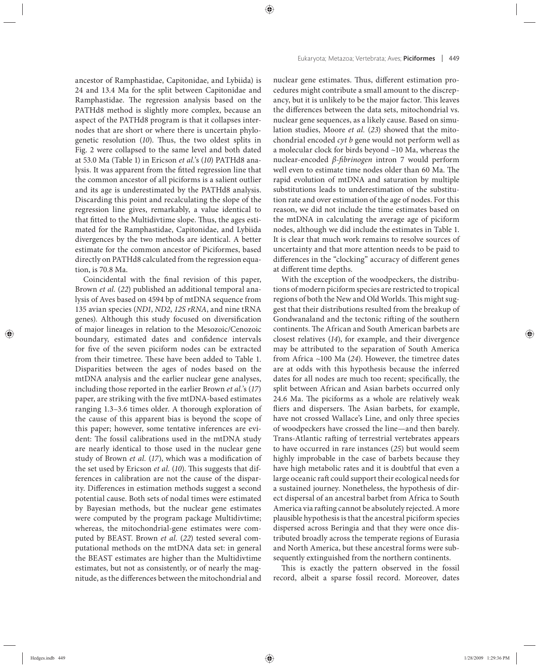ancestor of Ramphastidae, Capitonidae, and Lybiida) is 24 and 13.4 Ma for the split between Capitonidae and Ramphastidae. The regression analysis based on the PATHd8 method is slightly more complex, because an aspect of the PATHd8 program is that it collapses internodes that are short or where there is uncertain phylogenetic resolution (10). Thus, the two oldest splits in Fig. 2 were collapsed to the same level and both dated at 53.0 Ma (Table 1) in Ericson *et al.*'s (*10*) PATHd8 analysis. It was apparent from the fitted regression line that the common ancestor of all piciforms is a salient outlier and its age is underestimated by the PATHd8 analysis. Discarding this point and recalculating the slope of the regression line gives, remarkably, a value identical to that fitted to the Multidivtime slope. Thus, the ages estimated for the Ramphastidae, Capitonidae, and Lybiida divergences by the two methods are identical. A better estimate for the common ancestor of Piciformes, based directly on PATHd8 calculated from the regression equation, is 70.8 Ma.

Coincidental with the final revision of this paper, Brown *et al.* (*22*) published an additional temporal analysis of Aves based on 4594 bp of mtDNA sequence from 135 avian species (*ND1*, *ND2*, *12S rRNA*, and nine tRNA genes). Although this study focused on diversification of major lineages in relation to the Mesozoic/Cenozoic boundary, estimated dates and confidence intervals for five of the seven piciform nodes can be extracted from their timetree. These have been added to Table 1. Disparities between the ages of nodes based on the mtDNA analysis and the earlier nuclear gene analyses, including those reported in the earlier Brown *et al.*'s (*17*) paper, are striking with the five mtDNA-based estimates ranging 1.3–3.6 times older. A thorough exploration of the cause of this apparent bias is beyond the scope of this paper; however, some tentative inferences are evident: The fossil calibrations used in the mtDNA study are nearly identical to those used in the nuclear gene study of Brown *et al.* (17), which was a modification of the set used by Ericson *et al.* (10). This suggests that differences in calibration are not the cause of the disparity. Differences in estimation methods suggest a second potential cause. Both sets of nodal times were estimated by Bayesian methods, but the nuclear gene estimates were computed by the program package Multidivtime; whereas, the mitochondrial-gene estimates were computed by BEAST. Brown *et al.* (*22*) tested several computational methods on the mtDNA data set: in general the BEAST estimates are higher than the Multidivtime estimates, but not as consistently, or of nearly the magnitude, as the differences between the mitochondrial and

nuclear gene estimates. Thus, different estimation procedures might contribute a small amount to the discrepancy, but it is unlikely to be the major factor. This leaves the differences between the data sets, mitochondrial vs. nuclear gene sequences, as a likely cause. Based on simulation studies, Moore *et al.* (*23*) showed that the mitochondrial encoded *cyt b* gene would not perform well as a molecular clock for birds beyond ~10 Ma, whereas the nuclear-encoded *β-fibrinogen* intron 7 would perform well even to estimate time nodes older than 60 Ma. The rapid evolution of mtDNA and saturation by multiple substitutions leads to underestimation of the substitution rate and over estimation of the age of nodes. For this reason, we did not include the time estimates based on the mtDNA in calculating the average age of piciform nodes, although we did include the estimates in Table 1. It is clear that much work remains to resolve sources of uncertainty and that more attention needs to be paid to differences in the "clocking" accuracy of different genes at different time depths.

With the exception of the woodpeckers, the distributions of modern piciform species are restricted to tropical regions of both the New and Old Worlds. This might suggest that their distributions resulted from the breakup of Gondwanaland and the tectonic rifting of the southern continents. The African and South American barbets are closest relatives (*14*), for example, and their divergence may be attributed to the separation of South America from Africa ~100 Ma (*24*). However, the timetree dates are at odds with this hypothesis because the inferred dates for all nodes are much too recent; specifically, the split between African and Asian barbets occurred only 24.6 Ma. The piciforms as a whole are relatively weak fliers and dispersers. The Asian barbets, for example, have not crossed Wallace's Line, and only three species of woodpeckers have crossed the line—and then barely. Trans-Atlantic rafting of terrestrial vertebrates appears to have occurred in rare instances (*25*) but would seem highly improbable in the case of barbets because they have high metabolic rates and it is doubtful that even a large oceanic raft could support their ecological needs for a sustained journey. Nonetheless, the hypothesis of direct dispersal of an ancestral barbet from Africa to South America via rafting cannot be absolutely rejected. A more plausible hypothesis isthat the ancestral piciform species dispersed across Beringia and that they were once distributed broadly across the temperate regions of Eurasia and North America, but these ancestral forms were subsequently extinguished from the northern continents.

This is exactly the pattern observed in the fossil record, albeit a sparse fossil record. Moreover, dates